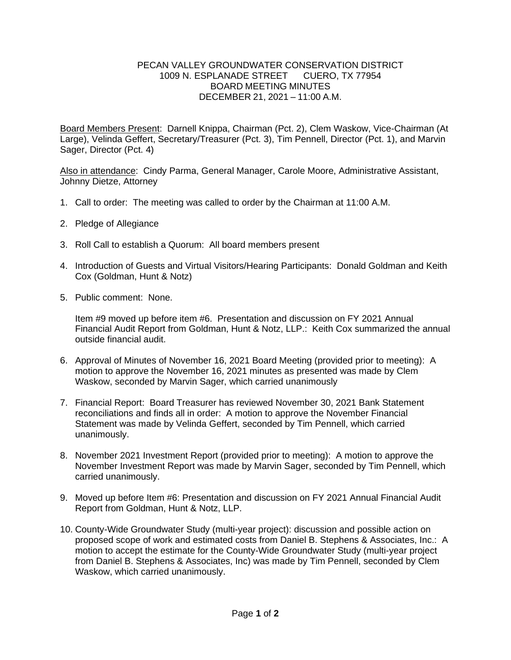## PECAN VALLEY GROUNDWATER CONSERVATION DISTRICT 1009 N. ESPLANADE STREET CUERO, TX 77954 BOARD MEETING MINUTES DECEMBER 21, 2021 – 11:00 A.M.

Board Members Present: Darnell Knippa, Chairman (Pct. 2), Clem Waskow, Vice-Chairman (At Large), Velinda Geffert, Secretary/Treasurer (Pct. 3), Tim Pennell, Director (Pct. 1), and Marvin Sager, Director (Pct. 4)

Also in attendance: Cindy Parma, General Manager, Carole Moore, Administrative Assistant, Johnny Dietze, Attorney

- 1. Call to order: The meeting was called to order by the Chairman at 11:00 A.M.
- 2. Pledge of Allegiance
- 3. Roll Call to establish a Quorum: All board members present
- 4. Introduction of Guests and Virtual Visitors/Hearing Participants: Donald Goldman and Keith Cox (Goldman, Hunt & Notz)
- 5. Public comment: None.

Item #9 moved up before item #6. Presentation and discussion on FY 2021 Annual Financial Audit Report from Goldman, Hunt & Notz, LLP.: Keith Cox summarized the annual outside financial audit.

- 6. Approval of Minutes of November 16, 2021 Board Meeting (provided prior to meeting): A motion to approve the November 16, 2021 minutes as presented was made by Clem Waskow, seconded by Marvin Sager, which carried unanimously
- 7. Financial Report: Board Treasurer has reviewed November 30, 2021 Bank Statement reconciliations and finds all in order: A motion to approve the November Financial Statement was made by Velinda Geffert, seconded by Tim Pennell, which carried unanimously.
- 8. November 2021 Investment Report (provided prior to meeting): A motion to approve the November Investment Report was made by Marvin Sager, seconded by Tim Pennell, which carried unanimously.
- 9. Moved up before Item #6: Presentation and discussion on FY 2021 Annual Financial Audit Report from Goldman, Hunt & Notz, LLP.
- 10. County-Wide Groundwater Study (multi-year project): discussion and possible action on proposed scope of work and estimated costs from Daniel B. Stephens & Associates, Inc.: A motion to accept the estimate for the County-Wide Groundwater Study (multi-year project from Daniel B. Stephens & Associates, Inc) was made by Tim Pennell, seconded by Clem Waskow, which carried unanimously.